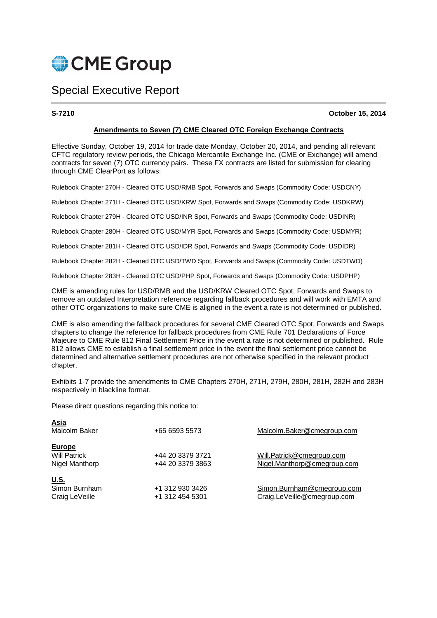

# Special Executive Report

**S-7210 October 15, 2014** 

# **Amendments to Seven (7) CME Cleared OTC Foreign Exchange Contracts**

Effective Sunday, October 19, 2014 for trade date Monday, October 20, 2014, and pending all relevant CFTC regulatory review periods, the Chicago Mercantile Exchange Inc. (CME or Exchange) will amend contracts for seven (7) OTC currency pairs. These FX contracts are listed for submission for clearing through CME ClearPort as follows:

Rulebook Chapter 270H - Cleared OTC USD/RMB Spot, Forwards and Swaps (Commodity Code: USDCNY)

Rulebook Chapter 271H - Cleared OTC USD/KRW Spot, Forwards and Swaps (Commodity Code: USDKRW)

Rulebook Chapter 279H - Cleared OTC USD/INR Spot, Forwards and Swaps (Commodity Code: USDINR)

Rulebook Chapter 280H - Cleared OTC USD/MYR Spot, Forwards and Swaps (Commodity Code: USDMYR)

Rulebook Chapter 281H - Cleared OTC USD/IDR Spot, Forwards and Swaps (Commodity Code: USDIDR)

Rulebook Chapter 282H - Cleared OTC USD/TWD Spot, Forwards and Swaps (Commodity Code: USDTWD)

Rulebook Chapter 283H - Cleared OTC USD/PHP Spot, Forwards and Swaps (Commodity Code: USDPHP)

CME is amending rules for USD/RMB and the USD/KRW Cleared OTC Spot, Forwards and Swaps to remove an outdated Interpretation reference regarding fallback procedures and will work with EMTA and other OTC organizations to make sure CME is aligned in the event a rate is not determined or published.

CME is also amending the fallback procedures for several CME Cleared OTC Spot, Forwards and Swaps chapters to change the reference for fallback procedures from CME Rule 701 Declarations of Force Majeure to CME Rule 812 Final Settlement Price in the event a rate is not determined or published. Rule 812 allows CME to establish a final settlement price in the event the final settlement price cannot be determined and alternative settlement procedures are not otherwise specified in the relevant product chapter.

Exhibits 1-7 provide the amendments to CME Chapters 270H, 271H, 279H, 280H, 281H, 282H and 283H respectively in blackline format.

Please direct questions regarding this notice to:

| <b>Asia</b><br>Malcolm Baker                           | +65 6593 5573                        | Malcolm.Baker@cmegroup.com                                |
|--------------------------------------------------------|--------------------------------------|-----------------------------------------------------------|
| <b>Europe</b><br><b>Will Patrick</b><br>Nigel Manthorp | +44 20 3379 3721<br>+44 20 3379 3863 | Will.Patrick@cmegroup.com<br>Nigel.Manthorp@cmegroup.com  |
| <u>U.S.</u><br>Simon Burnham<br>Craig LeVeille         | +1 312 930 3426<br>+1 312 454 5301   | Simon.Burnham@cmegroup.com<br>Craig.LeVeille@cmegroup.com |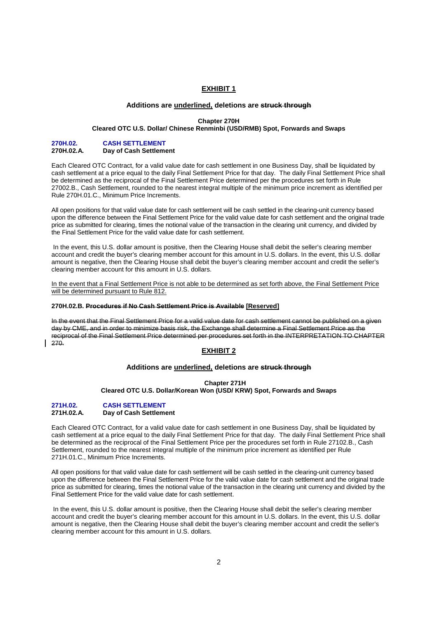# **EXHIBIT 1**

# **Additions are underlined, deletions are struck through**

#### **Chapter 270H**

# **Cleared OTC U.S. Dollar/ Chinese Renminbi (USD/RMB) Spot, Forwards and Swaps**

#### **270H.02. CASH SETTLEMENT Day of Cash Settlement**

Each Cleared OTC Contract, for a valid value date for cash settlement in one Business Day, shall be liquidated by cash settlement at a price equal to the daily Final Settlement Price for that day. The daily Final Settlement Price shall be determined as the reciprocal of the Final Settlement Price determined per the procedures set forth in Rule 27002.B., Cash Settlement, rounded to the nearest integral multiple of the minimum price increment as identified per Rule 270H.01.C., Minimum Price Increments.

All open positions for that valid value date for cash settlement will be cash settled in the clearing-unit currency based upon the difference between the Final Settlement Price for the valid value date for cash settlement and the original trade price as submitted for clearing, times the notional value of the transaction in the clearing unit currency, and divided by the Final Settlement Price for the valid value date for cash settlement.

 In the event, this U.S. dollar amount is positive, then the Clearing House shall debit the seller's clearing member account and credit the buyer's clearing member account for this amount in U.S. dollars. In the event, this U.S. dollar amount is negative, then the Clearing House shall debit the buyer's clearing member account and credit the seller's clearing member account for this amount in U.S. dollars.

In the event that a Final Settlement Price is not able to be determined as set forth above, the Final Settlement Price will be determined pursuant to Rule 812.

#### **270H.02.B. Procedures if No Cash Settlement Price is Available [Reserved]**

In the event that the Final Settlement Price for a valid value date for cash settlement cannot be published on a given day by CME, and in order to minimize basis risk, the Exchange shall determine a Final Settlement Price as the reciprocal of the Final Settlement Price determined per procedures set forth in the INTERPRETATION TO CHAPTER 270.

# **EXHIBIT 2**

# **Additions are underlined, deletions are struck through**

#### **Chapter 271H**

**Cleared OTC U.S. Dollar/Korean Won (USD/ KRW) Spot, Forwards and Swaps** 

### **271H.02. CASH SETTLEMENT Day of Cash Settlement**

Each Cleared OTC Contract, for a valid value date for cash settlement in one Business Day, shall be liquidated by cash settlement at a price equal to the daily Final Settlement Price for that day. The daily Final Settlement Price shall be determined as the reciprocal of the Final Settlement Price per the procedures set forth in Rule 27102.B., Cash Settlement, rounded to the nearest integral multiple of the minimum price increment as identified per Rule 271H.01.C., Minimum Price Increments.

All open positions for that valid value date for cash settlement will be cash settled in the clearing-unit currency based upon the difference between the Final Settlement Price for the valid value date for cash settlement and the original trade price as submitted for clearing, times the notional value of the transaction in the clearing unit currency and divided by the Final Settlement Price for the valid value date for cash settlement.

 In the event, this U.S. dollar amount is positive, then the Clearing House shall debit the seller's clearing member account and credit the buyer's clearing member account for this amount in U.S. dollars. In the event, this U.S. dollar amount is negative, then the Clearing House shall debit the buyer's clearing member account and credit the seller's clearing member account for this amount in U.S. dollars.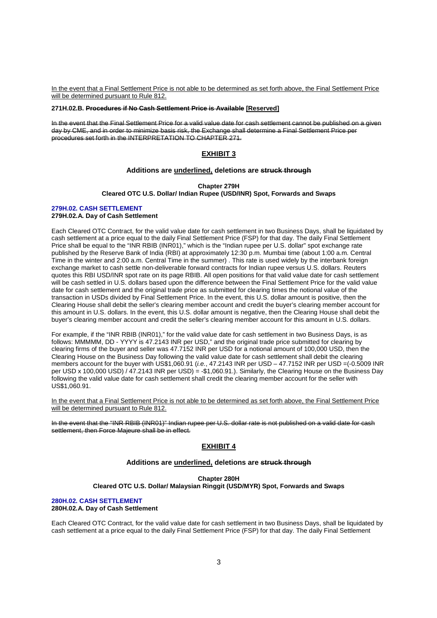In the event that a Final Settlement Price is not able to be determined as set forth above, the Final Settlement Price will be determined pursuant to Rule 812.

#### **271H.02.B. Procedures if No Cash Settlement Price is Available [Reserved]**

In the event that the Final Settlement Price for a valid value date for cash settlement cannot be published on a given day by CME, and in order to minimize basis risk, the Exchange shall determine a Final Settlement Price per procedures set forth in the INTERPRETATION TO CHAPTER 271.

# **EXHIBIT 3**

#### **Additions are underlined, deletions are struck through**

**Chapter 279H Cleared OTC U.S. Dollar/ Indian Rupee (USD/INR) Spot, Forwards and Swaps**

#### **279H.02. CASH SETTLEMENT 279H.02.A. Day of Cash Settlement**

Each Cleared OTC Contract, for the valid value date for cash settlement in two Business Days, shall be liquidated by cash settlement at a price equal to the daily Final Settlement Price (FSP) for that day. The daily Final Settlement Price shall be equal to the "INR RBIB (INR01)," which is the "Indian rupee per U.S. dollar" spot exchange rate published by the Reserve Bank of India (RBI) at approximately 12:30 p.m. Mumbai time (about 1:00 a.m. Central Time in the winter and 2:00 a.m. Central Time in the summer) . This rate is used widely by the interbank foreign exchange market to cash settle non-deliverable forward contracts for Indian rupee versus U.S. dollars. Reuters quotes this RBI USD/INR spot rate on its page RBIB. All open positions for that valid value date for cash settlement will be cash settled in U.S. dollars based upon the difference between the Final Settlement Price for the valid value date for cash settlement and the original trade price as submitted for clearing times the notional value of the transaction in USDs divided by Final Settlement Price. In the event, this U.S. dollar amount is positive, then the Clearing House shall debit the seller's clearing member account and credit the buyer's clearing member account for this amount in U.S. dollars. In the event, this U.S. dollar amount is negative, then the Clearing House shall debit the buyer's clearing member account and credit the seller's clearing member account for this amount in U.S. dollars.

For example, if the "INR RBIB (INR01)," for the valid value date for cash settlement in two Business Days, is as follows: MMMMM, DD - YYYY is 47.2143 INR per USD," and the original trade price submitted for clearing by clearing firms of the buyer and seller was 47.7152 INR per USD for a notional amount of 100,000 USD, then the Clearing House on the Business Day following the valid value date for cash settlement shall debit the clearing members account for the buyer with US\$1,060.91 (i.e., 47.2143 INR per USD – 47.7152 INR per USD =(-0.5009 INR per USD x 100,000 USD) / 47.2143 INR per USD) = -\$1,060.91.). Similarly, the Clearing House on the Business Day following the valid value date for cash settlement shall credit the clearing member account for the seller with US\$1,060.91.

In the event that a Final Settlement Price is not able to be determined as set forth above, the Final Settlement Price will be determined pursuant to Rule 812.

In the event that the "INR RBIB (INR01)" Indian rupee per U.S. dollar rate is not published on a valid date for cash settlement, then Force Majeure shall be in effect.

# **EXHIBIT 4**

# **Additions are underlined, deletions are struck through**

**Chapter 280H Cleared OTC U.S. Dollar/ Malaysian Ringgit (USD/MYR) Spot, Forwards and Swaps** 

#### **280H.02. CASH SETTLEMENT 280H.02.A. Day of Cash Settlement**

Each Cleared OTC Contract, for the valid value date for cash settlement in two Business Days, shall be liquidated by cash settlement at a price equal to the daily Final Settlement Price (FSP) for that day. The daily Final Settlement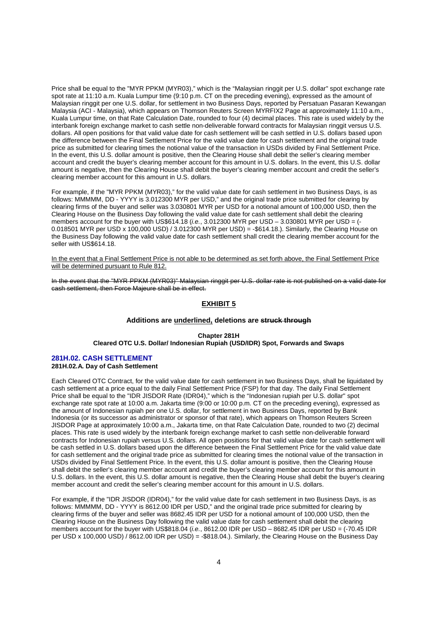Price shall be equal to the "MYR PPKM (MYR03)," which is the "Malaysian ringgit per U.S. dollar" spot exchange rate spot rate at 11:10 a.m. Kuala Lumpur time (9:10 p.m. CT on the preceding evening), expressed as the amount of Malaysian ringgit per one U.S. dollar, for settlement in two Business Days, reported by Persatuan Pasaran Kewangan Malaysia (ACI - Malaysia), which appears on Thomson Reuters Screen MYRFIX2 Page at approximately 11:10 a.m., Kuala Lumpur time, on that Rate Calculation Date, rounded to four (4) decimal places. This rate is used widely by the interbank foreign exchange market to cash settle non-deliverable forward contracts for Malaysian ringgit versus U.S. dollars. All open positions for that valid value date for cash settlement will be cash settled in U.S. dollars based upon the difference between the Final Settlement Price for the valid value date for cash settlement and the original trade price as submitted for clearing times the notional value of the transaction in USDs divided by Final Settlement Price. In the event, this U.S. dollar amount is positive, then the Clearing House shall debit the seller's clearing member account and credit the buyer's clearing member account for this amount in U.S. dollars. In the event, this U.S. dollar amount is negative, then the Clearing House shall debit the buyer's clearing member account and credit the seller's clearing member account for this amount in U.S. dollars.

For example, if the "MYR PPKM (MYR03)," for the valid value date for cash settlement in two Business Days, is as follows: MMMMM, DD - YYYY is 3.012300 MYR per USD," and the original trade price submitted for clearing by clearing firms of the buyer and seller was 3.030801 MYR per USD for a notional amount of 100,000 USD, then the Clearing House on the Business Day following the valid value date for cash settlement shall debit the clearing members account for the buyer with US\$614.18 (i.e., 3.012300 MYR per USD – 3.030801 MYR per USD = (-0.018501 MYR per USD x 100,000 USD) / 3.012300 MYR per USD) = -\$614.18.). Similarly, the Clearing House on the Business Day following the valid value date for cash settlement shall credit the clearing member account for the seller with US\$614.18.

In the event that a Final Settlement Price is not able to be determined as set forth above, the Final Settlement Price will be determined pursuant to Rule 812.

In the event that the "MYR PPKM (MYR03)" Malaysian ringgit per U.S. dollar rate is not published on a valid date for cash settlement, then Force Majeure shall be in effect.

# **EXHIBIT 5**

#### **Additions are underlined, deletions are struck through**

**Chapter 281H Cleared OTC U.S. Dollar/ Indonesian Rupiah (USD/IDR) Spot, Forwards and Swaps** 

#### **281H.02. CASH SETTLEMENT 281H.02.A. Day of Cash Settlement**

Each Cleared OTC Contract, for the valid value date for cash settlement in two Business Days, shall be liquidated by cash settlement at a price equal to the daily Final Settlement Price (FSP) for that day. The daily Final Settlement Price shall be equal to the "IDR JISDOR Rate (IDR04)," which is the "Indonesian rupiah per U.S. dollar" spot exchange rate spot rate at 10:00 a.m. Jakarta time (9:00 or 10:00 p.m. CT on the preceding evening), expressed as the amount of Indonesian rupiah per one U.S. dollar, for settlement in two Business Days, reported by Bank Indonesia (or its successor as administrator or sponsor of that rate), which appears on Thomson Reuters Screen JISDOR Page at approximately 10:00 a.m., Jakarta time, on that Rate Calculation Date, rounded to two (2) decimal places. This rate is used widely by the interbank foreign exchange market to cash settle non-deliverable forward contracts for Indonesian rupiah versus U.S. dollars. All open positions for that valid value date for cash settlement will be cash settled in U.S. dollars based upon the difference between the Final Settlement Price for the valid value date for cash settlement and the original trade price as submitted for clearing times the notional value of the transaction in USDs divided by Final Settlement Price. In the event, this U.S. dollar amount is positive, then the Clearing House shall debit the seller's clearing member account and credit the buyer's clearing member account for this amount in U.S. dollars. In the event, this U.S. dollar amount is negative, then the Clearing House shall debit the buyer's clearing member account and credit the seller's clearing member account for this amount in U.S. dollars.

For example, if the "IDR JISDOR (IDR04)," for the valid value date for cash settlement in two Business Days, is as follows: MMMMM, DD - YYYY is 8612.00 IDR per USD," and the original trade price submitted for clearing by clearing firms of the buyer and seller was 8682.45 IDR per USD for a notional amount of 100,000 USD, then the Clearing House on the Business Day following the valid value date for cash settlement shall debit the clearing members account for the buyer with US\$818.04 (i.e., 8612.00 IDR per USD – 8682.45 IDR per USD = (-70.45 IDR per USD x 100,000 USD) / 8612.00 IDR per USD) = -\$818.04.). Similarly, the Clearing House on the Business Day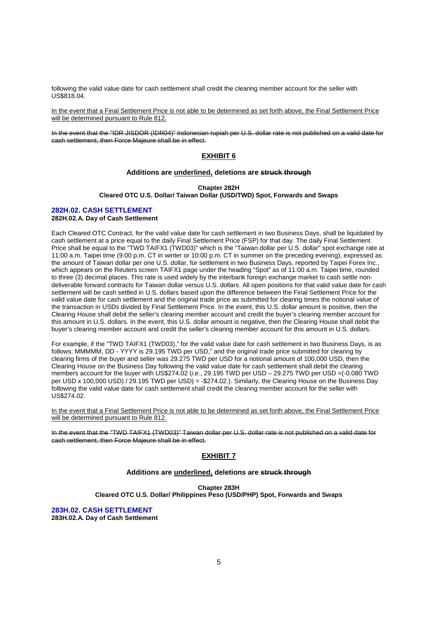following the valid value date for cash settlement shall credit the clearing member account for the seller with US\$818.04.

In the event that a Final Settlement Price is not able to be determined as set forth above, the Final Settlement Price will be determined pursuant to Rule 812.

In the event that the "IDR JISDOR (IDR04)" Indonesian rupiah per U.S. dollar rate is not published on a valid date for cash settlement, then Force Majeure shall be in effect.

# **EXHIBIT 6**

# **Additions are underlined, deletions are struck through**

**Chapter 282H Cleared OTC U.S. Dollar/ Taiwan Dollar (USD/TWD) Spot, Forwards and Swaps** 

#### **282H.02. CASH SETTLEMENT 282H.02.A. Day of Cash Settlement**

Each Cleared OTC Contract, for the valid value date for cash settlement in two Business Days, shall be liquidated by cash settlement at a price equal to the daily Final Settlement Price (FSP) for that day. The daily Final Settlement Price shall be equal to the "TWD TAIFX1 (TWD03)" which is the "Taiwan dollar per U.S. dollar" spot exchange rate at 11:00 a.m. Taipei time (9:00 p.m. CT in winter or 10:00 p.m. CT in summer on the preceding evening), expressed as the amount of Taiwan dollar per one U.S. dollar, for settlement in two Business Days, reported by Taipei Forex Inc., which appears on the Reuters screen TAIFX1 page under the heading "Spot" as of 11:00 a.m. Taipei time, rounded to three (3) decimal places. This rate is used widely by the interbank foreign exchange market to cash settle nondeliverable forward contracts for Taiwan dollar versus U.S. dollars. All open positions for that valid value date for cash settlement will be cash settled in U.S. dollars based upon the difference between the Final Settlement Price for the valid value date for cash settlement and the original trade price as submitted for clearing times the notional value of the transaction in USDs divided by Final Settlement Price. In the event, this U.S. dollar amount is positive, then the Clearing House shall debit the seller's clearing member account and credit the buyer's clearing member account for this amount in U.S. dollars. In the event, this U.S. dollar amount is negative, then the Clearing House shall debit the buyer's clearing member account and credit the seller's clearing member account for this amount in U.S. dollars.

For example, if the "TWD TAIFX1 (TWD03)," for the valid value date for cash settlement in two Business Days, is as follows: MMMMM, DD - YYYY is 29.195 TWD per USD," and the original trade price submitted for clearing by clearing firms of the buyer and seller was 29.275 TWD per USD for a notional amount of 100,000 USD, then the Clearing House on the Business Day following the valid value date for cash settlement shall debit the clearing members account for the buyer with US\$274.02 (i.e., 29.195 TWD per USD – 29.275 TWD per USD =(-0.080 TWD per USD x 100,000 USD) / 29.195 TWD per USD) = -\$274.02.). Similarly, the Clearing House on the Business Day following the valid value date for cash settlement shall credit the clearing member account for the seller with US\$274.02.

In the event that a Final Settlement Price is not able to be determined as set forth above, the Final Settlement Price will be determined pursuant to Rule 812.

In the event that the "TWD TAIFX1 (TWD03)" Taiwan dollar per U.S. dollar rate is not published on a valid date for cash settlement, then Force Majeure shall be in effect.

# **EXHIBIT 7**

### **Additions are underlined, deletions are struck through**

**Chapter 283H**

**Cleared OTC U.S. Dollar/ Philippines Peso (USD/PHP) Spot, Forwards and Swaps** 

**283H.02. CASH SETTLEMENT** 

**283H.02.A. Day of Cash Settlement**